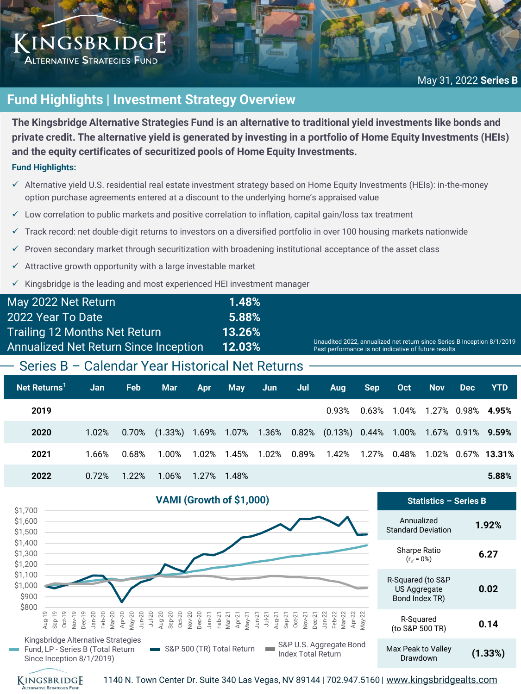## KINGSBRIDGE **ALTERNATIVE STRATEGIES FUND**

# **Fund Highlights | Investment Strategy Overview**

**The Kingsbridge Alternative Strategies Fund is an alternative to traditional yield investments like bonds and private credit. The alternative yield is generated by investing in a portfolio of Home Equity Investments (HEIs) and the equity certificates of securitized pools of Home Equity Investments.**

### **Fund Highlights:**

- ✓ Alternative yield U.S. residential real estate investment strategy based on Home Equity Investments (HEIs): in-the-money option purchase agreements entered at a discount to the underlying home's appraised value
- $\checkmark$  Low correlation to public markets and positive correlation to inflation, capital gain/loss tax treatment
- ✓ Track record: net double-digit returns to investors on a diversified portfolio in over 100 housing markets nationwide
- Proven secondary market through securitization with broadening institutional acceptance of the asset class
- $\checkmark$  Attractive growth opportunity with a large investable market
- Kingsbridge is the leading and most experienced HEI investment manager

| May 2022 Net Return                               | 1.48%  |                                                                                                                                 |  |  |  |  |  |
|---------------------------------------------------|--------|---------------------------------------------------------------------------------------------------------------------------------|--|--|--|--|--|
| 2022 Year To Date                                 | 5.88%  |                                                                                                                                 |  |  |  |  |  |
| <b>Trailing 12 Months Net Return</b>              | 13.26% |                                                                                                                                 |  |  |  |  |  |
| <b>Annualized Net Return Since Inception</b>      | 12.03% | Unaudited 2022, annualized net return since Series B Inception 8/1/2019<br>Past performance is not indicative of future results |  |  |  |  |  |
| - Series B - Calendar Year Historical Net Returns |        |                                                                                                                                 |  |  |  |  |  |
|                                                   |        |                                                                                                                                 |  |  |  |  |  |

| Net Returns <sup>1</sup> | <b>Jan</b> | <b>Feb</b> | <b>Mar</b>                                                                            | <b>Apr</b> | May Jun | Jul 1 | <b>Aug</b>                                                                                          | Sep | <b>Oct</b>                                | <b>Nov</b> | Dec | <b>YTD</b> |
|--------------------------|------------|------------|---------------------------------------------------------------------------------------|------------|---------|-------|-----------------------------------------------------------------------------------------------------|-----|-------------------------------------------|------------|-----|------------|
| 2019                     |            |            |                                                                                       |            |         |       |                                                                                                     |     | $0.93\%$ $0.63\%$ 1.04% 1.27% 0.98% 4.95% |            |     |            |
| 2020                     | 1.02%      |            | $0.70\%$ (1.33%) 1.69% 1.07% 1.36% 0.82% (0.13%) 0.44% 1.00% 1.67% 0.91% <b>9.59%</b> |            |         |       |                                                                                                     |     |                                           |            |     |            |
| 2021                     | 1.66%      | 0.68%      |                                                                                       |            |         |       | $1.00\%$ $1.02\%$ $1.45\%$ $1.02\%$ $0.89\%$ $1.42\%$ $1.27\%$ $0.48\%$ $1.02\%$ $0.67\%$ $13.31\%$ |     |                                           |            |     |            |
| 2022                     | 0.72%      | $1.22\%$   | 1.06% 1.27% 1.48%                                                                     |            |         |       |                                                                                                     |     |                                           |            |     | 5.88%      |





1140 N. Town Center Dr. Suite 340 Las Vegas, NV 89144 | 702.947.5160 | [www.kingsbridgealts.com](http://www.kingsbridgealts.com/)